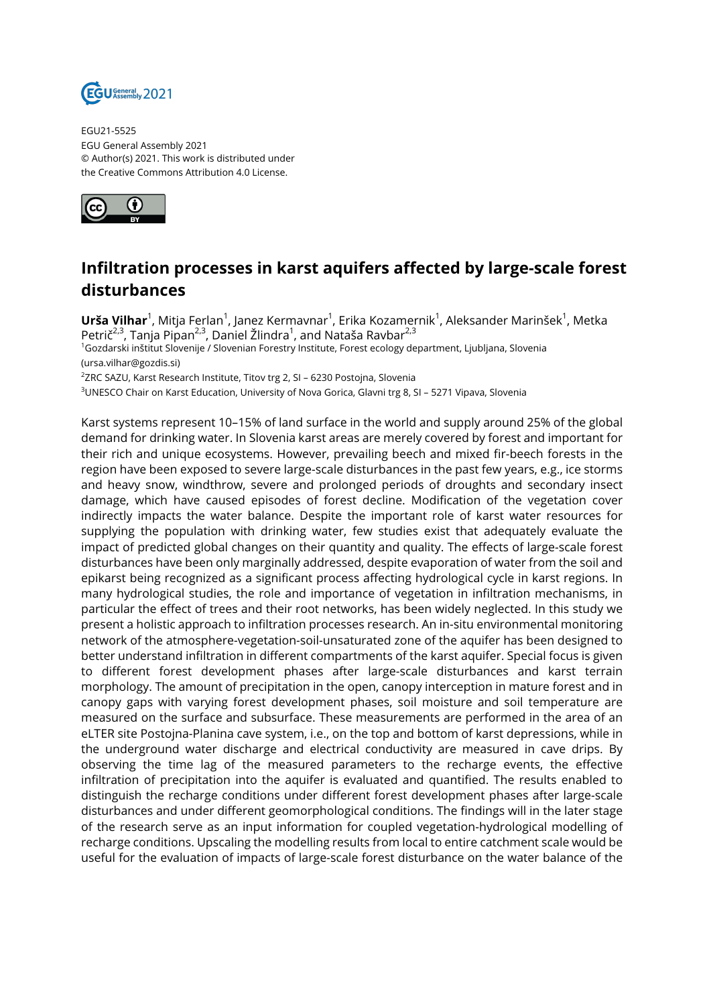

EGU21-5525 EGU General Assembly 2021 © Author(s) 2021. This work is distributed under the Creative Commons Attribution 4.0 License.



## **Infiltration processes in karst aquifers affected by large-scale forest disturbances**

**Urša Vilhar**<sup>1</sup>, Mitja Ferlan<sup>1</sup>, Janez Kermavnar<sup>1</sup>, Erika Kozamernik<sup>1</sup>, Aleksander Marinšek<sup>1</sup>, Metka Petrič<sup>2,3</sup>, Tanja Pipan<sup>2,3</sup>, Daniel Žlindra<sup>1</sup>, and Nataša Ravbar<sup>2,3</sup> <sup>1</sup>Gozdarski inštitut Slovenije / Slovenian Forestry Institute, Forest ecology department, Ljubljana, Slovenia (ursa.vilhar@gozdis.si)  $^{2}$ ZRC SAZU, Karst Research Institute, Titov trg 2, SI – 6230 Postojna, Slovenia

<sup>3</sup>UNESCO Chair on Karst Education, University of Nova Gorica, Glavni trg 8, SI – 5271 Vipava, Slovenia

Karst systems represent 10–15% of land surface in the world and supply around 25% of the global demand for drinking water. In Slovenia karst areas are merely covered by forest and important for their rich and unique ecosystems. However, prevailing beech and mixed fir-beech forests in the region have been exposed to severe large-scale disturbances in the past few years, e.g., ice storms and heavy snow, windthrow, severe and prolonged periods of droughts and secondary insect damage, which have caused episodes of forest decline. Modification of the vegetation cover indirectly impacts the water balance. Despite the important role of karst water resources for supplying the population with drinking water, few studies exist that adequately evaluate the impact of predicted global changes on their quantity and quality. The effects of large-scale forest disturbances have been only marginally addressed, despite evaporation of water from the soil and epikarst being recognized as a significant process affecting hydrological cycle in karst regions. In many hydrological studies, the role and importance of vegetation in infiltration mechanisms, in particular the effect of trees and their root networks, has been widely neglected. In this study we present a holistic approach to infiltration processes research. An in-situ environmental monitoring network of the atmosphere-vegetation-soil-unsaturated zone of the aquifer has been designed to better understand infiltration in different compartments of the karst aquifer. Special focus is given to different forest development phases after large-scale disturbances and karst terrain morphology. The amount of precipitation in the open, canopy interception in mature forest and in canopy gaps with varying forest development phases, soil moisture and soil temperature are measured on the surface and subsurface. These measurements are performed in the area of an eLTER site Postojna-Planina cave system, i.e., on the top and bottom of karst depressions, while in the underground water discharge and electrical conductivity are measured in cave drips. By observing the time lag of the measured parameters to the recharge events, the effective infiltration of precipitation into the aquifer is evaluated and quantified. The results enabled to distinguish the recharge conditions under different forest development phases after large-scale disturbances and under different geomorphological conditions. The findings will in the later stage of the research serve as an input information for coupled vegetation-hydrological modelling of recharge conditions. Upscaling the modelling results from local to entire catchment scale would be useful for the evaluation of impacts of large-scale forest disturbance on the water balance of the